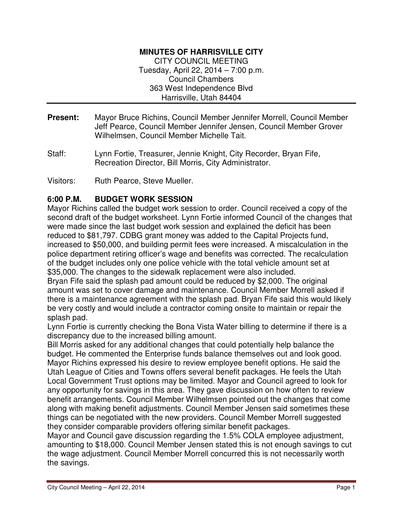### **MINUTES OF HARRISVILLE CITY**

CITY COUNCIL MEETING Tuesday, April 22, 2014 – 7:00 p.m. Council Chambers 363 West Independence Blvd Harrisville, Utah 84404

- **Present:** Mayor Bruce Richins, Council Member Jennifer Morrell, Council Member Jeff Pearce, Council Member Jennifer Jensen, Council Member Grover Wilhelmsen, Council Member Michelle Tait.
- Staff: Lynn Fortie, Treasurer, Jennie Knight, City Recorder, Bryan Fife, Recreation Director, Bill Morris, City Administrator.

Visitors: Ruth Pearce, Steve Mueller.

### **6:00 P.M. BUDGET WORK SESSION**

Mayor Richins called the budget work session to order. Council received a copy of the second draft of the budget worksheet. Lynn Fortie informed Council of the changes that were made since the last budget work session and explained the deficit has been reduced to \$81,797. CDBG grant money was added to the Capital Projects fund, increased to \$50,000, and building permit fees were increased. A miscalculation in the police department retiring officer's wage and benefits was corrected. The recalculation of the budget includes only one police vehicle with the total vehicle amount set at \$35,000. The changes to the sidewalk replacement were also included.

Bryan Fife said the splash pad amount could be reduced by \$2,000. The original amount was set to cover damage and maintenance. Council Member Morrell asked if there is a maintenance agreement with the splash pad. Bryan Fife said this would likely be very costly and would include a contractor coming onsite to maintain or repair the splash pad.

Lynn Fortie is currently checking the Bona Vista Water billing to determine if there is a discrepancy due to the increased billing amount.

Bill Morris asked for any additional changes that could potentially help balance the budget. He commented the Enterprise funds balance themselves out and look good. Mayor Richins expressed his desire to review employee benefit options. He said the Utah League of Cities and Towns offers several benefit packages. He feels the Utah Local Government Trust options may be limited. Mayor and Council agreed to look for any opportunity for savings in this area. They gave discussion on how often to review benefit arrangements. Council Member Wilhelmsen pointed out the changes that come along with making benefit adjustments. Council Member Jensen said sometimes these things can be negotiated with the new providers. Council Member Morrell suggested they consider comparable providers offering similar benefit packages.

Mayor and Council gave discussion regarding the 1.5% COLA employee adjustment, amounting to \$18,000. Council Member Jensen stated this is not enough savings to cut the wage adjustment. Council Member Morrell concurred this is not necessarily worth the savings.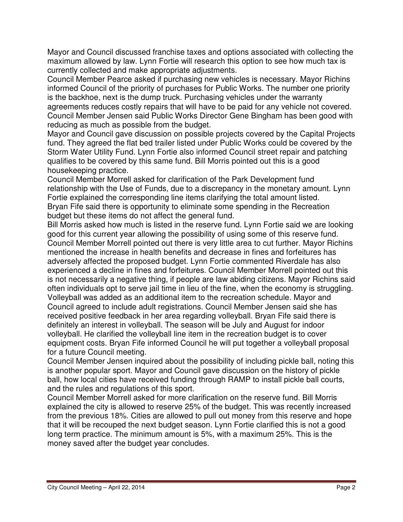Mayor and Council discussed franchise taxes and options associated with collecting the maximum allowed by law. Lynn Fortie will research this option to see how much tax is currently collected and make appropriate adjustments.

Council Member Pearce asked if purchasing new vehicles is necessary. Mayor Richins informed Council of the priority of purchases for Public Works. The number one priority is the backhoe, next is the dump truck. Purchasing vehicles under the warranty agreements reduces costly repairs that will have to be paid for any vehicle not covered. Council Member Jensen said Public Works Director Gene Bingham has been good with reducing as much as possible from the budget.

Mayor and Council gave discussion on possible projects covered by the Capital Projects fund. They agreed the flat bed trailer listed under Public Works could be covered by the Storm Water Utility Fund. Lynn Fortie also informed Council street repair and patching qualifies to be covered by this same fund. Bill Morris pointed out this is a good housekeeping practice.

Council Member Morrell asked for clarification of the Park Development fund relationship with the Use of Funds, due to a discrepancy in the monetary amount. Lynn Fortie explained the corresponding line items clarifying the total amount listed. Bryan Fife said there is opportunity to eliminate some spending in the Recreation budget but these items do not affect the general fund.

Bill Morris asked how much is listed in the reserve fund. Lynn Fortie said we are looking good for this current year allowing the possibility of using some of this reserve fund. Council Member Morrell pointed out there is very little area to cut further. Mayor Richins mentioned the increase in health benefits and decrease in fines and forfeitures has adversely affected the proposed budget. Lynn Fortie commented Riverdale has also experienced a decline in fines and forfeitures. Council Member Morrell pointed out this is not necessarily a negative thing, if people are law abiding citizens. Mayor Richins said often individuals opt to serve jail time in lieu of the fine, when the economy is struggling. Volleyball was added as an additional item to the recreation schedule. Mayor and Council agreed to include adult registrations. Council Member Jensen said she has received positive feedback in her area regarding volleyball. Bryan Fife said there is definitely an interest in volleyball. The season will be July and August for indoor volleyball. He clarified the volleyball line item in the recreation budget is to cover equipment costs. Bryan Fife informed Council he will put together a volleyball proposal for a future Council meeting.

Council Member Jensen inquired about the possibility of including pickle ball, noting this is another popular sport. Mayor and Council gave discussion on the history of pickle ball, how local cities have received funding through RAMP to install pickle ball courts, and the rules and regulations of this sport.

Council Member Morrell asked for more clarification on the reserve fund. Bill Morris explained the city is allowed to reserve 25% of the budget. This was recently increased from the previous 18%. Cities are allowed to pull out money from this reserve and hope that it will be recouped the next budget season. Lynn Fortie clarified this is not a good long term practice. The minimum amount is 5%, with a maximum 25%. This is the money saved after the budget year concludes.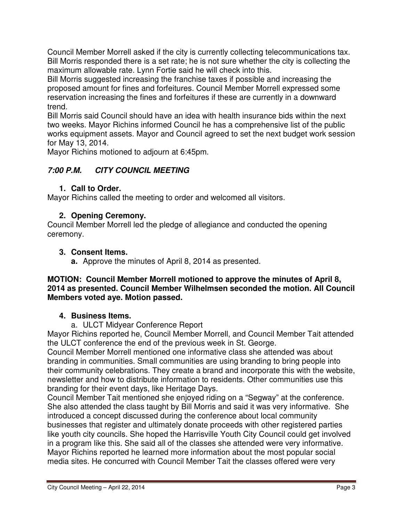Council Member Morrell asked if the city is currently collecting telecommunications tax. Bill Morris responded there is a set rate; he is not sure whether the city is collecting the maximum allowable rate. Lynn Fortie said he will check into this.

Bill Morris suggested increasing the franchise taxes if possible and increasing the proposed amount for fines and forfeitures. Council Member Morrell expressed some reservation increasing the fines and forfeitures if these are currently in a downward trend.

Bill Morris said Council should have an idea with health insurance bids within the next two weeks. Mayor Richins informed Council he has a comprehensive list of the public works equipment assets. Mayor and Council agreed to set the next budget work session for May 13, 2014.

Mayor Richins motioned to adjourn at 6:45pm.

# **7:00 P.M. CITY COUNCIL MEETING**

## **1. Call to Order.**

Mayor Richins called the meeting to order and welcomed all visitors.

### **2. Opening Ceremony.**

Council Member Morrell led the pledge of allegiance and conducted the opening ceremony.

### **3. Consent Items.**

**a.** Approve the minutes of April 8, 2014 as presented.

#### **MOTION: Council Member Morrell motioned to approve the minutes of April 8, 2014 as presented. Council Member Wilhelmsen seconded the motion. All Council Members voted aye. Motion passed.**

### **4. Business Items.**

a. ULCT Midyear Conference Report

Mayor Richins reported he, Council Member Morrell, and Council Member Tait attended the ULCT conference the end of the previous week in St. George.

Council Member Morrell mentioned one informative class she attended was about branding in communities. Small communities are using branding to bring people into their community celebrations. They create a brand and incorporate this with the website, newsletter and how to distribute information to residents. Other communities use this branding for their event days, like Heritage Days.

Council Member Tait mentioned she enjoyed riding on a "Segway" at the conference. She also attended the class taught by Bill Morris and said it was very informative. She introduced a concept discussed during the conference about local community businesses that register and ultimately donate proceeds with other registered parties like youth city councils. She hoped the Harrisville Youth City Council could get involved in a program like this. She said all of the classes she attended were very informative. Mayor Richins reported he learned more information about the most popular social media sites. He concurred with Council Member Tait the classes offered were very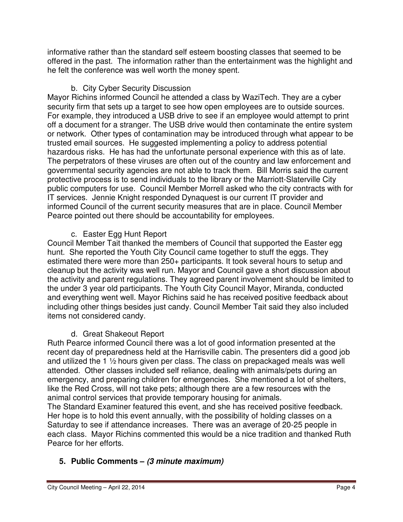informative rather than the standard self esteem boosting classes that seemed to be offered in the past. The information rather than the entertainment was the highlight and he felt the conference was well worth the money spent.

## b. City Cyber Security Discussion

Mayor Richins informed Council he attended a class by WaziTech. They are a cyber security firm that sets up a target to see how open employees are to outside sources. For example, they introduced a USB drive to see if an employee would attempt to print off a document for a stranger. The USB drive would then contaminate the entire system or network. Other types of contamination may be introduced through what appear to be trusted email sources. He suggested implementing a policy to address potential hazardous risks. He has had the unfortunate personal experience with this as of late. The perpetrators of these viruses are often out of the country and law enforcement and governmental security agencies are not able to track them. Bill Morris said the current protective process is to send individuals to the library or the Marriott-Slaterville City public computers for use. Council Member Morrell asked who the city contracts with for IT services. Jennie Knight responded Dynaquest is our current IT provider and informed Council of the current security measures that are in place. Council Member Pearce pointed out there should be accountability for employees.

## c. Easter Egg Hunt Report

Council Member Tait thanked the members of Council that supported the Easter egg hunt. She reported the Youth City Council came together to stuff the eggs. They estimated there were more than 250+ participants. It took several hours to setup and cleanup but the activity was well run. Mayor and Council gave a short discussion about the activity and parent regulations. They agreed parent involvement should be limited to the under 3 year old participants. The Youth City Council Mayor, Miranda, conducted and everything went well. Mayor Richins said he has received positive feedback about including other things besides just candy. Council Member Tait said they also included items not considered candy.

# d. Great Shakeout Report

Ruth Pearce informed Council there was a lot of good information presented at the recent day of preparedness held at the Harrisville cabin. The presenters did a good job and utilized the 1 ½ hours given per class. The class on prepackaged meals was well attended. Other classes included self reliance, dealing with animals/pets during an emergency, and preparing children for emergencies. She mentioned a lot of shelters, like the Red Cross, will not take pets; although there are a few resources with the animal control services that provide temporary housing for animals.

The Standard Examiner featured this event, and she has received positive feedback. Her hope is to hold this event annually, with the possibility of holding classes on a Saturday to see if attendance increases. There was an average of 20-25 people in each class. Mayor Richins commented this would be a nice tradition and thanked Ruth Pearce for her efforts.

# **5. Public Comments – (3 minute maximum)**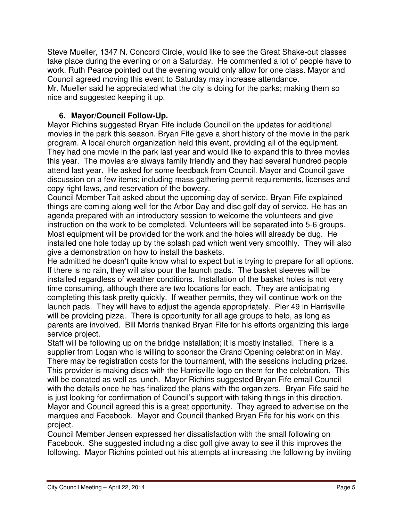Steve Mueller, 1347 N. Concord Circle, would like to see the Great Shake-out classes take place during the evening or on a Saturday. He commented a lot of people have to work. Ruth Pearce pointed out the evening would only allow for one class. Mayor and Council agreed moving this event to Saturday may increase attendance.

Mr. Mueller said he appreciated what the city is doing for the parks; making them so nice and suggested keeping it up.

## **6. Mayor/Council Follow-Up.**

Mayor Richins suggested Bryan Fife include Council on the updates for additional movies in the park this season. Bryan Fife gave a short history of the movie in the park program. A local church organization held this event, providing all of the equipment. They had one movie in the park last year and would like to expand this to three movies this year. The movies are always family friendly and they had several hundred people attend last year. He asked for some feedback from Council. Mayor and Council gave discussion on a few items; including mass gathering permit requirements, licenses and copy right laws, and reservation of the bowery.

Council Member Tait asked about the upcoming day of service. Bryan Fife explained things are coming along well for the Arbor Day and disc golf day of service. He has an agenda prepared with an introductory session to welcome the volunteers and give instruction on the work to be completed. Volunteers will be separated into 5-6 groups. Most equipment will be provided for the work and the holes will already be dug. He installed one hole today up by the splash pad which went very smoothly. They will also give a demonstration on how to install the baskets.

He admitted he doesn't quite know what to expect but is trying to prepare for all options. If there is no rain, they will also pour the launch pads. The basket sleeves will be installed regardless of weather conditions. Installation of the basket holes is not very time consuming, although there are two locations for each. They are anticipating completing this task pretty quickly. If weather permits, they will continue work on the launch pads. They will have to adjust the agenda appropriately. Pier 49 in Harrisville will be providing pizza. There is opportunity for all age groups to help, as long as parents are involved. Bill Morris thanked Bryan Fife for his efforts organizing this large service project.

Staff will be following up on the bridge installation; it is mostly installed. There is a supplier from Logan who is willing to sponsor the Grand Opening celebration in May. There may be registration costs for the tournament, with the sessions including prizes. This provider is making discs with the Harrisville logo on them for the celebration. This will be donated as well as lunch. Mayor Richins suggested Bryan Fife email Council with the details once he has finalized the plans with the organizers. Bryan Fife said he is just looking for confirmation of Council's support with taking things in this direction. Mayor and Council agreed this is a great opportunity. They agreed to advertise on the marquee and Facebook. Mayor and Council thanked Bryan Fife for his work on this project.

Council Member Jensen expressed her dissatisfaction with the small following on Facebook. She suggested including a disc golf give away to see if this improves the following. Mayor Richins pointed out his attempts at increasing the following by inviting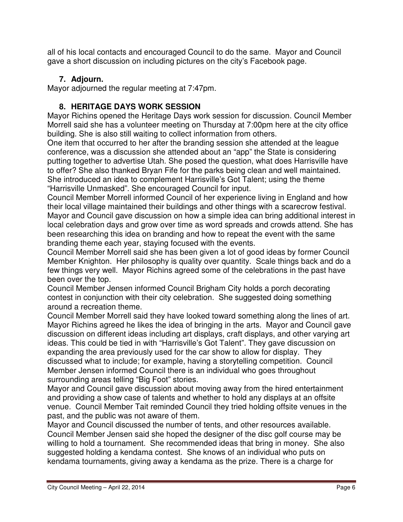all of his local contacts and encouraged Council to do the same. Mayor and Council gave a short discussion on including pictures on the city's Facebook page.

# **7. Adjourn.**

Mayor adjourned the regular meeting at 7:47pm.

# **8. HERITAGE DAYS WORK SESSION**

Mayor Richins opened the Heritage Days work session for discussion. Council Member Morrell said she has a volunteer meeting on Thursday at 7:00pm here at the city office building. She is also still waiting to collect information from others.

One item that occurred to her after the branding session she attended at the league conference, was a discussion she attended about an "app" the State is considering putting together to advertise Utah. She posed the question, what does Harrisville have to offer? She also thanked Bryan Fife for the parks being clean and well maintained. She introduced an idea to complement Harrisville's Got Talent; using the theme "Harrisville Unmasked". She encouraged Council for input.

Council Member Morrell informed Council of her experience living in England and how their local village maintained their buildings and other things with a scarecrow festival. Mayor and Council gave discussion on how a simple idea can bring additional interest in local celebration days and grow over time as word spreads and crowds attend. She has been researching this idea on branding and how to repeat the event with the same branding theme each year, staying focused with the events.

Council Member Morrell said she has been given a lot of good ideas by former Council Member Knighton. Her philosophy is quality over quantity. Scale things back and do a few things very well. Mayor Richins agreed some of the celebrations in the past have been over the top.

Council Member Jensen informed Council Brigham City holds a porch decorating contest in conjunction with their city celebration. She suggested doing something around a recreation theme.

Council Member Morrell said they have looked toward something along the lines of art. Mayor Richins agreed he likes the idea of bringing in the arts. Mayor and Council gave discussion on different ideas including art displays, craft displays, and other varying art ideas. This could be tied in with "Harrisville's Got Talent". They gave discussion on expanding the area previously used for the car show to allow for display. They discussed what to include; for example, having a storytelling competition. Council Member Jensen informed Council there is an individual who goes throughout surrounding areas telling "Big Foot" stories.

Mayor and Council gave discussion about moving away from the hired entertainment and providing a show case of talents and whether to hold any displays at an offsite venue. Council Member Tait reminded Council they tried holding offsite venues in the past, and the public was not aware of them.

Mayor and Council discussed the number of tents, and other resources available. Council Member Jensen said she hoped the designer of the disc golf course may be willing to hold a tournament. She recommended ideas that bring in money. She also suggested holding a kendama contest. She knows of an individual who puts on kendama tournaments, giving away a kendama as the prize. There is a charge for